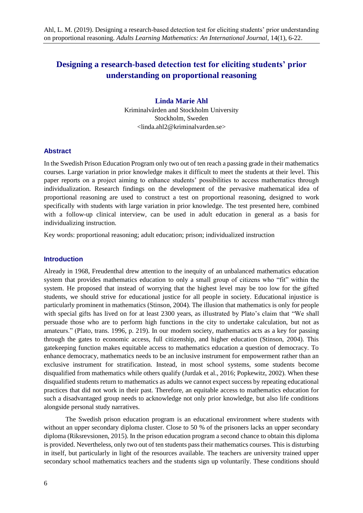# **Designing a research-based detection test for eliciting students' prior understanding on proportional reasoning**

**Linda Marie Ahl** Kriminalvården and Stockholm University Stockholm, Sweden  $\langle$ linda ahl $2@$ kriminalvarden se $>$ 

## **Abstract**

In the Swedish Prison Education Program only two out of ten reach a passing grade in their mathematics courses. Large variation in prior knowledge makes it difficult to meet the students at their level. This paper reports on a project aiming to enhance students' possibilities to access mathematics through individualization. Research findings on the development of the pervasive mathematical idea of proportional reasoning are used to construct a test on proportional reasoning, designed to work specifically with students with large variation in prior knowledge. The test presented here, combined with a follow-up clinical interview, can be used in adult education in general as a basis for individualizing instruction.

Key words: proportional reasoning; adult education; prison; individualized instruction

### **Introduction**

Already in 1968, Freudenthal drew attention to the inequity of an unbalanced mathematics education system that provides mathematics education to only a small group of citizens who "fit" within the system. He proposed that instead of worrying that the highest level may be too low for the gifted students, we should strive for educational justice for all people in society. Educational injustice is particularly prominent in mathematics (Stinson, 2004). The illusion that mathematics is only for people with special gifts has lived on for at least 2300 years, as illustrated by Plato's claim that "We shall persuade those who are to perform high functions in the city to undertake calculation, but not as amateurs." (Plato, trans. 1996, p. 219). In our modern society, mathematics acts as a key for passing through the gates to economic access, full citizenship, and higher education (Stinson, 2004). This gatekeeping function makes equitable access to mathematics education a question of democracy. To enhance democracy, mathematics needs to be an inclusive instrument for empowerment rather than an exclusive instrument for stratification. Instead, in most school systems, some students become disqualified from mathematics while others qualify (Jurdak et al., 2016; Popkewitz, 2002). When these disqualified students return to mathematics as adults we cannot expect success by repeating educational practices that did not work in their past. Therefore, an equitable access to mathematics education for such a disadvantaged group needs to acknowledge not only prior knowledge, but also life conditions alongside personal study narratives.

The Swedish prison education program is an educational environment where students with without an upper secondary diploma cluster. Close to 50 % of the prisoners lacks an upper secondary diploma (Riksrevsionen, 2015). In the prison education program a second chance to obtain this diploma is provided. Nevertheless, only two out of ten students pass their mathematics courses. This is disturbing in itself, but particularly in light of the resources available. The teachers are university trained upper secondary school mathematics teachers and the students sign up voluntarily. These conditions should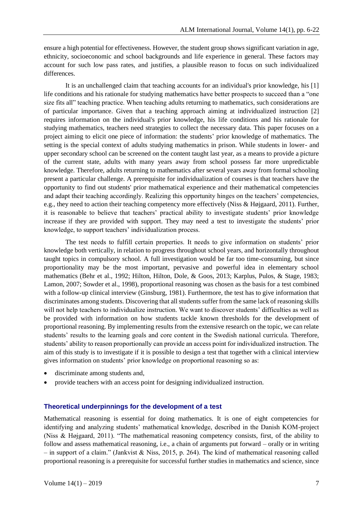ensure a high potential for effectiveness. However, the student group shows significant variation in age, ethnicity, socioeconomic and school backgrounds and life experience in general. These factors may account for such low pass rates, and justifies, a plausible reason to focus on such individualized differences.

It is an unchallenged claim that teaching accounts for an individual's prior knowledge, his [1] life conditions and his rationale for studying mathematics have better prospects to succeed than a "one size fits all" teaching practice. When teaching adults returning to mathematics, such considerations are of particular importance. Given that a teaching approach aiming at individualized instruction [2] requires information on the individual's prior knowledge, his life conditions and his rationale for studying mathematics, teachers need strategies to collect the necessary data. This paper focuses on a project aiming to elicit one piece of information: the students' prior knowledge of mathematics. The setting is the special context of adults studying mathematics in prison. While students in lower- and upper secondary school can be screened on the content taught last year, as a means to provide a picture of the current state, adults with many years away from school possess far more unpredictable knowledge. Therefore, adults returning to mathematics after several years away from formal schooling present a particular challenge. A prerequisite for individualization of courses is that teachers have the opportunity to find out students' prior mathematical experience and their mathematical competencies and adapt their teaching accordingly. Realizing this opportunity hinges on the teachers' competencies, e.g., they need to action their teaching competency more effectively (Niss & Højgaard, 2011). Further, it is reasonable to believe that teachers' practical ability to investigate students' prior knowledge increase if they are provided with support. They may need a test to investigate the students' prior knowledge, to support teachers' individualization process.

The test needs to fulfill certain properties. It needs to give information on students' prior knowledge both vertically, in relation to progress throughout school years, and horizontally throughout taught topics in compulsory school. A full investigation would be far too time-consuming, but since proportionality may be the most important, pervasive and powerful idea in elementary school mathematics (Behr et al., 1992; Hilton, Hilton, Dole, & Goos, 2013; Karplus, Pulos, & Stage, 1983; Lamon, 2007; Sowder et al., 1998), proportional reasoning was chosen as the basis for a test combined with a follow-up clinical interview (Ginsburg, 1981). Furthermore, the test has to give information that discriminates among students. Discovering that all students suffer from the same lack of reasoning skills will not help teachers to individualize instruction. We want to discover students' difficulties as well as be provided with information on how students tackle known thresholds for the development of proportional reasoning. By implementing results from the extensive research on the topic, we can relate students' results to the learning goals and core content in the Swedish national curricula. Therefore, students' ability to reason proportionally can provide an access point for individualized instruction. The aim of this study is to investigate if it is possible to design a test that together with a clinical interview gives information on students' prior knowledge on proportional reasoning so as:

- discriminate among students and,
- provide teachers with an access point for designing individualized instruction.

#### **Theoretical underpinnings for the development of a test**

Mathematical reasoning is essential for doing mathematics. It is one of eight competencies for identifying and analyzing students' mathematical knowledge, described in the Danish KOM-project (Niss & Højgaard, 2011). "The mathematical reasoning competency consists, first, of the ability to follow and assess mathematical reasoning, i.e., a chain of arguments put forward – orally or in writing – in support of a claim." (Jankvist & Niss, 2015, p. 264). The kind of mathematical reasoning called proportional reasoning is a prerequisite for successful further studies in mathematics and science, since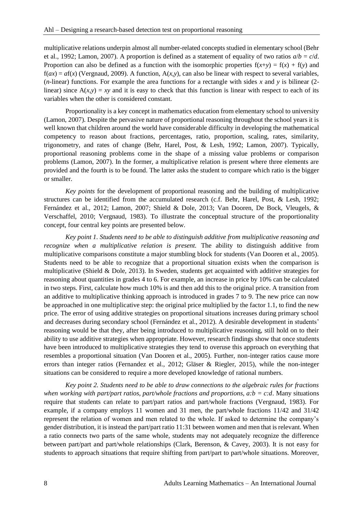multiplicative relations underpin almost all number-related concepts studied in elementary school (Behr et al., 1992; Lamon, 2007). A proportion is defined as a statement of equality of two ratios  $a/b = c/d$ . Proportion can also be defined as a function with the isomorphic properties  $f(x+y) = f(x) + f(y)$  and  $f(ax) = af(x)$  (Vergnaud, 2009). A function,  $A(x, y)$ , can also be linear with respect to several variables, (*n*-linear) functions. For example the area functions for a rectangle with sides *x* and *y* is bilinear (2 linear) since  $A(x,y) = xy$  and it is easy to check that this function is linear with respect to each of its variables when the other is considered constant.

Proportionality is a key concept in mathematics education from elementary school to university (Lamon, 2007). Despite the pervasive nature of proportional reasoning throughout the school years it is well known that children around the world have considerable difficulty in developing the mathematical competency to reason about fractions, percentages, ratio, proportion, scaling, rates, similarity, trigonometry, and rates of change (Behr, Harel, Post, & Lesh, 1992; Lamon, 2007). Typically, proportional reasoning problems come in the shape of a missing value problems or comparison problems (Lamon, 2007). In the former, a multiplicative relation is present where three elements are provided and the fourth is to be found. The latter asks the student to compare which ratio is the bigger or smaller.

*Key points* for the development of proportional reasoning and the building of multiplicative structures can be identified from the accumulated research (c.f. Behr, Harel, Post, & Lesh, 1992; Fernández et al., 2012; Lamon, 2007; Shield & Dole, 2013; Van Dooren, De Bock, Vleugels, & Verschaffel, 2010; Vergnaud, 1983). To illustrate the conceptual structure of the proportionality concept, four central key points are presented below.

*Key point 1. Students need to be able to distinguish additive from multiplicative reasoning and recognize when a multiplicative relation is present.* The ability to distinguish additive from multiplicative comparisons constitute a major stumbling block for students (Van Dooren et al., 2005). Students need to be able to recognize that a proportional situation exists when the comparison is multiplicative (Shield & Dole, 2013). In Sweden, students get acquainted with additive strategies for reasoning about quantities in grades 4 to 6. For example, an increase in price by 10% can be calculated in two steps. First, calculate how much 10% is and then add this to the original price. A transition from an additive to multiplicative thinking approach is introduced in grades 7 to 9. The new price can now be approached in one multiplicative step: the original price multiplied by the factor 1.1, to find the new price. The error of using additive strategies on proportional situations increases during primary school and decreases during secondary school (Fernández et al., 2012). A desirable development in students' reasoning would be that they, after being introduced to multiplicative reasoning, still hold on to their ability to use additive strategies when appropriate. However, research findings show that once students have been introduced to multiplicative strategies they tend to overuse this approach on everything that resembles a proportional situation (Van Dooren et al., 2005). Further, non-integer ratios cause more errors than integer ratios (Fernandez et al., 2012; Gläser & Riegler, 2015), while the non-integer situations can be considered to require a more developed knowledge of rational numbers.

*Key point 2. Students need to be able to draw connections to the algebraic rules for fractions when working with part/part ratios, part/whole fractions and proportions, a:b = c:d*. Many situations require that students can relate to part/part ratios and part/whole fractions (Vergnaud, 1983). For example, if a company employs 11 women and 31 men, the part/whole fractions 11/42 and 31/42 represent the relation of women and men related to the whole. If asked to determine the company's gender distribution, it is instead the part/part ratio 11:31 between women and men that is relevant. When a ratio connects two parts of the same whole, students may not adequately recognize the difference between part/part and part/whole relationships (Clark, Berenson, & Cavey, 2003). It is not easy for students to approach situations that require shifting from part/part to part/whole situations. Moreover,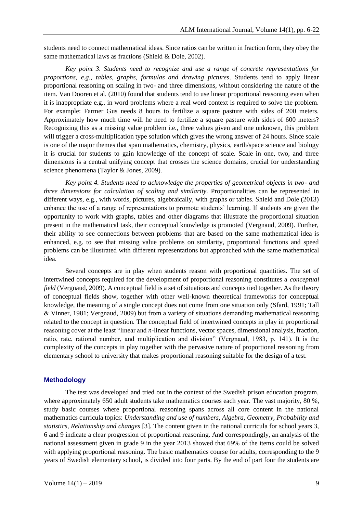students need to connect mathematical ideas. Since ratios can be written in fraction form, they obey the same mathematical laws as fractions (Shield & Dole, 2002).

*Key point 3. Students need to recognize and use a range of concrete representations for proportions, e.g., tables, graphs, formulas and drawing pictures*. Students tend to apply linear proportional reasoning on scaling in two- and three dimensions, without considering the nature of the item. Van Dooren et al. (2010) found that students tend to use linear proportional reasoning even when it is inappropriate e.g., in word problems where a real word context is required to solve the problem. For example: Farmer Gus needs 8 hours to fertilize a square pasture with sides of 200 meters. Approximately how much time will he need to fertilize a square pasture with sides of 600 meters? Recognizing this as a missing value problem i.e., three values given and one unknown, this problem will trigger a cross-multiplication type solution which gives the wrong answer of 24 hours. Since scale is one of the major themes that span mathematics, chemistry, physics, earth/space science and biology it is crucial for students to gain knowledge of the concept of scale. Scale in one, two, and three dimensions is a central unifying concept that crosses the science domains, crucial for understanding science phenomena (Taylor & Jones, 2009).

*Key point 4. Students need to acknowledge the properties of geometrical objects in two- and three dimensions for calculation of scaling and similarity*. Proportionalities can be represented in different ways, e.g., with words, pictures, algebraically, with graphs or tables. Shield and Dole (2013) enhance the use of a range of representations to promote students' learning. If students are given the opportunity to work with graphs, tables and other diagrams that illustrate the proportional situation present in the mathematical task, their conceptual knowledge is promoted (Vergnaud, 2009). Further, their ability to see connections between problems that are based on the same mathematical idea is enhanced, e.g. to see that missing value problems on similarity, proportional functions and speed problems can be illustrated with different representations but approached with the same mathematical idea.

Several concepts are in play when students reason with proportional quantities. The set of intertwined concepts required for the development of proportional reasoning constitutes a *conceptual field* (Vergnaud, 2009). A conceptual field is a set of situations and concepts tied together. As the theory of conceptual fields show, together with other well-known theoretical frameworks for conceptual knowledge, the meaning of a single concept does not come from one situation only (Sfard, 1991; Tall & Vinner, 1981; Vergnaud, 2009) but from a variety of situations demanding mathematical reasoning related to the concept in question. The conceptual field of intertwined concepts in play in proportional reasoning cover at the least "linear and *n*-linear functions, vector spaces, dimensional analysis, fraction, ratio, rate, rational number, and multiplication and division" (Vergnaud, 1983, p. 141). It is the complexity of the concepts in play together with the pervasive nature of proportional reasoning from elementary school to university that makes proportional reasoning suitable for the design of a test.

## **Methodology**

The test was developed and tried out in the context of the Swedish prison education program, where approximately 650 adult students take mathematics courses each year. The vast majority, 80 %, study basic courses where proportional reasoning spans across all core content in the national mathematics curricula topics: *Understanding and use of numbers, Algebra, Geometry, Probability and statistics, Relationship and changes* [3]. The content given in the national curricula for school years 3, 6 and 9 indicate a clear progression of proportional reasoning. And correspondingly, an analysis of the national assessment given in grade 9 in the year 2013 showed that 69% of the items could be solved with applying proportional reasoning. The basic mathematics course for adults, corresponding to the 9 years of Swedish elementary school, is divided into four parts. By the end of part four the students are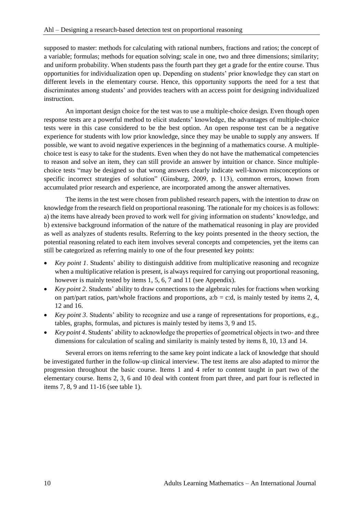supposed to master: methods for calculating with rational numbers, fractions and ratios; the concept of a variable; formulas; methods for equation solving; scale in one, two and three dimensions; similarity; and uniform probability. When students pass the fourth part they get a grade for the entire course. Thus opportunities for individualization open up. Depending on students' prior knowledge they can start on different levels in the elementary course. Hence, this opportunity supports the need for a test that discriminates among students' and provides teachers with an access point for designing individualized instruction.

An important design choice for the test was to use a multiple-choice design. Even though open response tests are a powerful method to elicit students' knowledge, the advantages of multiple-choice tests were in this case considered to be the best option. An open response test can be a negative experience for students with low prior knowledge, since they may be unable to supply any answers. If possible, we want to avoid negative experiences in the beginning of a mathematics course. A multiplechoice test is easy to take for the students. Even when they do not have the mathematical competencies to reason and solve an item, they can still provide an answer by intuition or chance. Since multiplechoice tests "may be designed so that wrong answers clearly indicate well-known misconceptions or specific incorrect strategies of solution" (Ginsburg, 2009, p. 113), common errors, known from accumulated prior research and experience, are incorporated among the answer alternatives.

The items in the test were chosen from published research papers, with the intention to draw on knowledge from the research field on proportional reasoning. The rationale for my choices is as follows: a) the items have already been proved to work well for giving information on students' knowledge, and b) extensive background information of the nature of the mathematical reasoning in play are provided as well as analyzes of students results. Referring to the key points presented in the theory section, the potential reasoning related to each item involves several concepts and competencies, yet the items can still be categorized as referring mainly to one of the four presented key points:

- *Key point 1*. Students' ability to distinguish additive from multiplicative reasoning and recognize when a multiplicative relation is present, is always required for carrying out proportional reasoning, however is mainly tested by items 1, 5, 6, 7 and 11 (see Appendix).
- *Key point 2.* Students' ability to draw connections to the algebraic rules for fractions when working on part/part ratios, part/whole fractions and proportions, a:b = c:d, is mainly tested by items 2, 4, 12 and 16.
- *Key point 3*. Students' ability to recognize and use a range of representations for proportions, e.g., tables, graphs, formulas, and pictures is mainly tested by items 3, 9 and 15.
- *Key point 4*. Students' ability to acknowledge the properties of geometrical objects in two- and three dimensions for calculation of scaling and similarity is mainly tested by items 8, 10, 13 and 14.

Several errors on items referring to the same key point indicate a lack of knowledge that should be investigated further in the follow-up clinical interview. The test items are also adapted to mirror the progression throughout the basic course. Items 1 and 4 refer to content taught in part two of the elementary course. Items 2, 3, 6 and 10 deal with content from part three, and part four is reflected in items 7, 8, 9 and 11-16 (see table 1).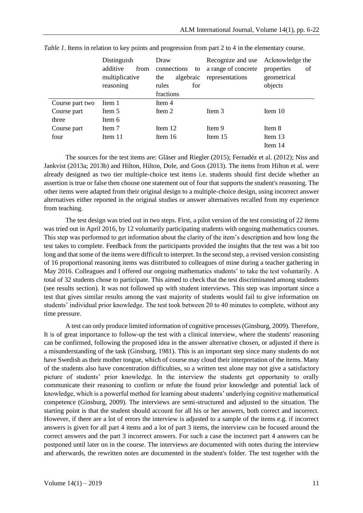|                 | Distinguish<br>additive<br>from<br>multiplicative<br>reasoning | Draw<br>connections<br>to<br>algebraic<br>the<br>rules<br>for<br>fractions | Recognize and use<br>a range of concrete<br>representations | Acknowledge the<br>properties<br>of<br>geometrical<br>objects |
|-----------------|----------------------------------------------------------------|----------------------------------------------------------------------------|-------------------------------------------------------------|---------------------------------------------------------------|
| Course part two | Item 1                                                         | Item 4                                                                     |                                                             |                                                               |
| Course part     | Item 5                                                         | Item 2                                                                     | Item 3                                                      | Item 10                                                       |
| three           | Item 6                                                         |                                                                            |                                                             |                                                               |
| Course part     | Item 7                                                         | Item 12                                                                    | Item 9                                                      | Item 8                                                        |
| four            | Item 11                                                        | Item 16                                                                    | Item 15                                                     | Item 13                                                       |
|                 |                                                                |                                                                            |                                                             | Item 14                                                       |

*Table 1*. Items in relation to key points and progression from part 2 to 4 in the elementary course.

The sources for the test items are: Gläser and Riegler (2015); Fernadéz et al. (2012); Niss and Jankvist (2013a; 2013b) and Hilton, Hilton, Dole, and Goos (2013). The items from Hilton et al. were already designed as two tier multiple-choice test items i.e. students should first decide whether an assertion is true or false then choose one statement out of four that supports the student's reasoning. The other items were adapted from their original design to a multiple-choice design, using incorrect answer alternatives either reported in the original studies or answer alternatives recalled from my experience from teaching.

The test design was tried out in two steps. First, a pilot version of the test consisting of 22 items was tried out in April 2016, by 12 voluntarily participating students with ongoing mathematics courses. This step was performed to get information about the clarity of the item's description and how long the test takes to complete. Feedback from the participants provided the insights that the test was a bit too long and that some of the items were difficult to interpret. In the second step, a revised version consisting of 16 proportional reasoning items was distributed to colleagues of mine during a teacher gathering in May 2016. Colleagues and I offered our ongoing mathematics students' to take the test voluntarily. A total of 32 students chose to participate. This aimed to check that the test discriminated among students (see results section). It was not followed up with student interviews. This step was important since a test that gives similar results among the vast majority of students would fail to give information on students' individual prior knowledge. The test took between 20 to 40 minutes to complete, without any time pressure.

A test can only produce limited information of cognitive processes (Ginsburg, 2009). Therefore, It is of great importance to follow-up the test with a clinical interview, where the students' reasoning can be confirmed, following the proposed idea in the answer alternative chosen, or adjusted if there is a misunderstanding of the task (Ginsburg, 1981). This is an important step since many students do not have Swedish as their mother tongue, which of course may cloud their interpretation of the items. Many of the students also have concentration difficulties, so a written test alone may not give a satisfactory picture of students' prior knowledge. In the interview the students get opportunity to orally communicate their reasoning to confirm or refute the found prior knowledge and potential lack of knowledge, which is a powerful method for learning about students' underlying cognitive mathematical competence (Ginsburg, 2009). The interviews are semi-structured and adjusted to the situation. The starting point is that the student should account for all his or her answers, both correct and incorrect. However, if there are a lot of errors the interview is adjusted to a sample of the items e.g. if incorrect answers is given for all part 4 items and a lot of part 3 items, the interview can be focused around the correct answers and the part 3 incorrect answers. For such a case the incorrect part 4 answers can be postponed until later on in the course. The interviews are documented with notes during the interview and afterwards, the rewritten notes are documented in the student's folder. The test together with the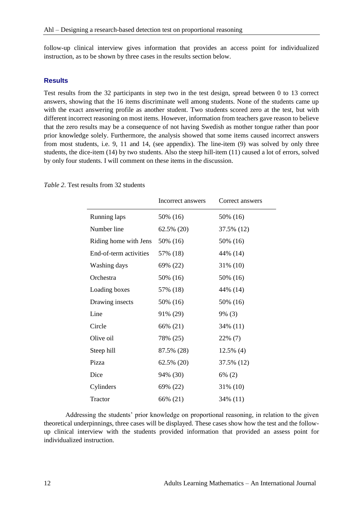follow-up clinical interview gives information that provides an access point for individualized instruction, as to be shown by three cases in the results section below.

### **Results**

Test results from the 32 participants in step two in the test design, spread between 0 to 13 correct answers, showing that the 16 items discriminate well among students. None of the students came up with the exact answering profile as another student. Two students scored zero at the test, but with different incorrect reasoning on most items. However, information from teachers gave reason to believe that the zero results may be a consequence of not having Swedish as mother tongue rather than poor prior knowledge solely. Furthermore, the analysis showed that some items caused incorrect answers from most students, i.e. 9, 11 and 14, (see appendix). The line-item (9) was solved by only three students, the dice-item (14) by two students. Also the steep hill-item (11) caused a lot of errors, solved by only four students. I will comment on these items in the discussion.

|                        | Incorrect answers | Correct answers |
|------------------------|-------------------|-----------------|
| Running laps           | 50% (16)          | 50% (16)        |
| Number line            | 62.5% (20)        | 37.5% (12)      |
| Riding home with Jens  | 50% (16)          | 50% (16)        |
| End-of-term activities | 57% (18)          | 44% (14)        |
| Washing days           | 69% (22)          | 31% (10)        |
| Orchestra              | 50% (16)          | 50% (16)        |
| Loading boxes          | 57% (18)          | 44% (14)        |
| Drawing insects        | 50% (16)          | 50% (16)        |
| Line                   | 91% (29)          | $9\%$ (3)       |
| Circle                 | 66% (21)          | 34% (11)        |
| Olive oil              | 78% (25)          | 22% (7)         |
| Steep hill             | 87.5% (28)        | $12.5\%$ (4)    |
| Pizza                  | 62.5% (20)        | 37.5% (12)      |
| Dice                   | 94% (30)          | 6% (2)          |
| Cylinders              | 69% (22)          | 31% (10)        |
| Tractor                | 66% (21)          | 34% (11)        |

*Table 2*. Test results from 32 students

Addressing the students' prior knowledge on proportional reasoning, in relation to the given theoretical underpinnings, three cases will be displayed. These cases show how the test and the followup clinical interview with the students provided information that provided an assess point for individualized instruction.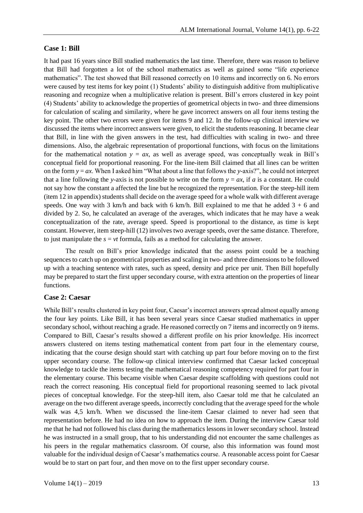#### **Case 1: Bill**

It had past 16 years since Bill studied mathematics the last time. Therefore, there was reason to believe that Bill had forgotten a lot of the school mathematics as well as gained some "life experience mathematics". The test showed that Bill reasoned correctly on 10 items and incorrectly on 6. No errors were caused by test items for key point (1) Students' ability to distinguish additive from multiplicative reasoning and recognize when a multiplicative relation is present. Bill's errors clustered in key point (4) Students' ability to acknowledge the properties of geometrical objects in two- and three dimensions for calculation of scaling and similarity, where he gave incorrect answers on all four items testing the key point. The other two errors were given for items 9 and 12. In the follow-up clinical interview we discussed the items where incorrect answers were given, to elicit the students reasoning. It became clear that Bill, in line with the given answers in the test, had difficulties with scaling in two- and three dimensions. Also, the algebraic representation of proportional functions, with focus on the limitations for the mathematical notation  $y = ax$ , as well as average speed, was conceptually weak in Bill's conceptual field for proportional reasoning. For the line-item Bill claimed that all lines can be written on the form  $y = ax$ . When I asked him "What about a line that follows the *y*-axis?", he could not interpret that a line following the *y*-axis is not possible to write on the form  $y = ax$ , if *a* is a constant. He could not say how the constant a affected the line but he recognized the representation. For the steep-hill item (item 12 in appendix) students shall decide on the average speed for a whole walk with different average speeds. One way with 3 km/h and back with 6 km/h. Bill explained to me that he added  $3 + 6$  and divided by 2. So, he calculated an average of the averages, which indicates that he may have a weak conceptualization of the rate, average speed. Speed is proportional to the distance, as time is kept constant. However, item steep-hill (12) involves two average speeds, over the same distance. Therefore, to just manipulate the  $s = vt$  formula, fails as a method for calculating the answer.

The result on Bill's prior knowledge indicated that the assess point could be a teaching sequences to catch up on geometrical properties and scaling in two- and three dimensions to be followed up with a teaching sentence with rates, such as speed, density and price per unit. Then Bill hopefully may be prepared to start the first upper secondary course, with extra attention on the properties of linear functions.

## **Case 2: Caesar**

While Bill's results clustered in key point four, Caesar's incorrect answers spread almost equally among the four key points. Like Bill, it has been several years since Caesar studied mathematics in upper secondary school, without reaching a grade. He reasoned correctly on 7 items and incorrectly on 9 items. Compared to Bill, Caesar's results showed a different profile on his prior knowledge. His incorrect answers clustered on items testing mathematical content from part four in the elementary course, indicating that the course design should start with catching up part four before moving on to the first upper secondary course. The follow-up clinical interview confirmed that Caesar lacked conceptual knowledge to tackle the items testing the mathematical reasoning competency required for part four in the elementary course. This became visible when Caesar despite scaffolding with questions could not reach the correct reasoning. His conceptual field for proportional reasoning seemed to lack pivotal pieces of conceptual knowledge. For the steep-hill item, also Caesar told me that he calculated an average on the two different average speeds, incorrectly concluding that the average speed for the whole walk was 4,5 km/h. When we discussed the line-item Caesar claimed to never had seen that representation before. He had no idea on how to approach the item. During the interview Caesar told me that he had not followed his class during the mathematics lessons in lower secondary school. Instead he was instructed in a small group, that to his understanding did not encounter the same challenges as his peers in the regular mathematics classroom. Of course, also this information was found most valuable for the individual design of Caesar's mathematics course. A reasonable access point for Caesar would be to start on part four, and then move on to the first upper secondary course.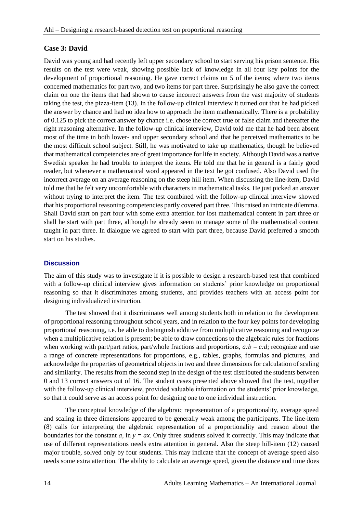## **Case 3: David**

David was young and had recently left upper secondary school to start serving his prison sentence. His results on the test were weak, showing possible lack of knowledge in all four key points for the development of proportional reasoning. He gave correct claims on 5 of the items; where two items concerned mathematics for part two, and two items for part three. Surprisingly he also gave the correct claim on one the items that had shown to cause incorrect answers from the vast majority of students taking the test, the pizza-item (13). In the follow-up clinical interview it turned out that he had picked the answer by chance and had no idea how to approach the item mathematically. There is a probability of 0.125 to pick the correct answer by chance i.e. chose the correct true or false claim and thereafter the right reasoning alternative. In the follow-up clinical interview, David told me that he had been absent most of the time in both lower- and upper secondary school and that he perceived mathematics to be the most difficult school subject. Still, he was motivated to take up mathematics, though he believed that mathematical competencies are of great importance for life in society. Although David was a native Swedish speaker he had trouble to interpret the items. He told me that he in general is a fairly good reader, but whenever a mathematical word appeared in the text he got confused. Also David used the incorrect average on an average reasoning on the steep hill item. When discussing the line-item, David told me that he felt very uncomfortable with characters in mathematical tasks. He just picked an answer without trying to interpret the item. The test combined with the follow-up clinical interview showed that his proportional reasoning competencies partly covered part three. This raised an intricate dilemma. Shall David start on part four with some extra attention for lost mathematical content in part three or shall he start with part three, although he already seem to manage some of the mathematical content taught in part three. In dialogue we agreed to start with part three, because David preferred a smooth start on his studies.

## **Discussion**

The aim of this study was to investigate if it is possible to design a research-based test that combined with a follow-up clinical interview gives information on students' prior knowledge on proportional reasoning so that it discriminates among students, and provides teachers with an access point for designing individualized instruction.

The test showed that it discriminates well among students both in relation to the development of proportional reasoning throughout school years, and in relation to the four key points for developing proportional reasoning, i.e. be able to distinguish additive from multiplicative reasoning and recognize when a multiplicative relation is present; be able to draw connections to the algebraic rules for fractions when working with part/part ratios, part/whole fractions and proportions,  $a:b = c.d$ ; recognize and use a range of concrete representations for proportions, e.g., tables, graphs, formulas and pictures, and acknowledge the properties of geometrical objects in two and three dimensions for calculation of scaling and similarity. The results from the second step in the design of the test distributed the students between 0 and 13 correct answers out of 16. The student cases presented above showed that the test, together with the follow-up clinical interview, provided valuable information on the students' prior knowledge, so that it could serve as an access point for designing one to one individual instruction.

The conceptual knowledge of the algebraic representation of a proportionality, average speed and scaling in three dimensions appeared to be generally weak among the participants. The line-item (8) calls for interpreting the algebraic representation of a proportionality and reason about the boundaries for the constant  $a$ , in  $y = ax$ . Only three students solved it correctly. This may indicate that use of different representations needs extra attention in general. Also the steep hill-item (12) caused major trouble, solved only by four students. This may indicate that the concept of average speed also needs some extra attention. The ability to calculate an average speed, given the distance and time does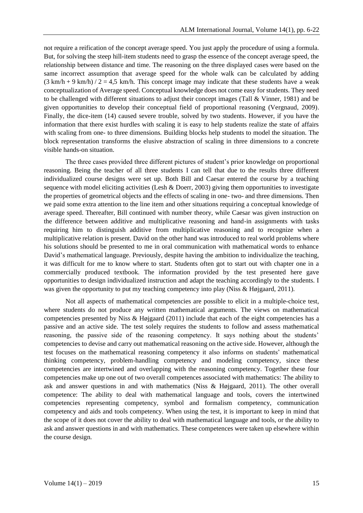not require a reification of the concept average speed. You just apply the procedure of using a formula. But, for solving the steep hill-item students need to grasp the essence of the concept average speed, the relationship between distance and time. The reasoning on the three displayed cases were based on the same incorrect assumption that average speed for the whole walk can be calculated by adding  $(3 \text{ km/h} + 9 \text{ km/h}) / 2 = 4.5 \text{ km/h}$ . This concept image may indicate that these students have a weak conceptualization of Average speed. Conceptual knowledge does not come easy for students. They need to be challenged with different situations to adjust their concept images (Tall & Vinner, 1981) and be given opportunities to develop their conceptual field of proportional reasoning (Vergnaud, 2009). Finally, the dice-item (14) caused severe trouble, solved by two students. However, if you have the information that there exist hurdles with scaling it is easy to help students realize the state of affairs with scaling from one- to three dimensions. Building blocks help students to model the situation. The block representation transforms the elusive abstraction of scaling in three dimensions to a concrete visible hands-on situation.

The three cases provided three different pictures of student's prior knowledge on proportional reasoning. Being the teacher of all three students I can tell that due to the results three different individualized course designs were set up. Both Bill and Caesar entered the course by a teaching sequence with model eliciting activities (Lesh & Doerr, 2003) giving them opportunities to investigate the properties of geometrical objects and the effects of scaling in one- two- and three dimensions. Then we paid some extra attention to the line item and other situations requiring a conceptual knowledge of average speed. Thereafter, Bill continued with number theory, while Caesar was given instruction on the difference between additive and multiplicative reasoning and hand-in assignments with tasks requiring him to distinguish additive from multiplicative reasoning and to recognize when a multiplicative relation is present. David on the other hand was introduced to real world problems where his solutions should be presented to me in oral communication with mathematical words to enhance David's mathematical language. Previously, despite having the ambition to individualize the teaching, it was difficult for me to know where to start. Students often got to start out with chapter one in a commercially produced textbook. The information provided by the test presented here gave opportunities to design individualized instruction and adapt the teaching accordingly to the students. I was given the opportunity to put my teaching competency into play (Niss & Højgaard, 2011).

Not all aspects of mathematical competencies are possible to elicit in a multiple-choice test, where students do not produce any written mathematical arguments. The views on mathematical competencies presented by Niss & Højgaard (2011) include that each of the eight competencies has a passive and an active side. The test solely requires the students to follow and assess mathematical reasoning, the passive side of the reasoning competency. It says nothing about the students' competencies to devise and carry out mathematical reasoning on the active side. However, although the test focuses on the mathematical reasoning competency it also informs on students' mathematical thinking competency, problem-handling competency and modeling competency, since these competencies are intertwined and overlapping with the reasoning competency. Together these four competencies make up one out of two overall competences associated with mathematics: The ability to ask and answer questions in and with mathematics (Niss & Højgaard, 2011). The other overall competence: The ability to deal with mathematical language and tools, covers the intertwined competencies representing competency, symbol and formalism competency, communication competency and aids and tools competency. When using the test, it is important to keep in mind that the scope of it does not cover the ability to deal with mathematical language and tools, or the ability to ask and answer questions in and with mathematics. These competences were taken up elsewhere within the course design.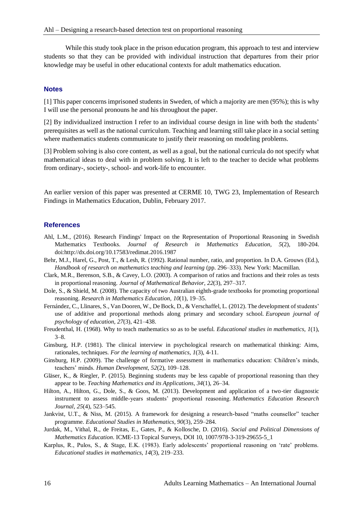While this study took place in the prison education program, this approach to test and interview students so that they can be provided with individual instruction that departures from their prior knowledge may be useful in other educational contexts for adult mathematics education.

#### **Notes**

[1] This paper concerns imprisoned students in Sweden, of which a majority are men (95%); this is why I will use the personal pronouns he and his throughout the paper.

[2] By individualized instruction I refer to an individual course design in line with both the students' prerequisites as well as the national curriculum. Teaching and learning still take place in a social setting where mathematics students communicate to justify their reasoning on modeling problems.

[3] Problem solving is also core content, as well as a goal, but the national curricula do not specify what mathematical ideas to deal with in problem solving. It is left to the teacher to decide what problems from ordinary-, society-, school- and work-life to encounter.

An earlier version of this paper was presented at CERME 10, TWG 23, Implementation of Research Findings in Mathematics Education, Dublin, February 2017.

#### **References**

- Ahl, L.M., (2016). Research Findings' Impact on the Representation of Proportional Reasoning in Swedish Mathematics Textbooks. *Journal of Research in Mathematics Education, 5*(2), 180-204. doi:http://dx.doi.org/10.17583/redimat.2016.1987
- Behr, M.J., Harel, G., Post, T., & Lesh, R. (1992). Rational number, ratio, and proportion. In D.A. Grouws (Ed.), *Handbook of research on mathematics teaching and learning* (pp. 296–333). New York: Macmillan.
- Clark, M.R., Berenson, S.B., & Cavey, L.O. (2003). A comparison of ratios and fractions and their roles as tests in proportional reasoning. *Journal of Mathematical Behavior, 22*(3), 297–317.
- Dole, S., & Shield, M. (2008). The capacity of two Australian eighth-grade textbooks for promoting proportional reasoning. *Research in Mathematics Education, 10*(1), 19–35.
- Fernández, C., Llinares, S., Van Dooren, W., De Bock, D., & Verschaffel, L. (2012). The development of students' use of additive and proportional methods along primary and secondary school. *European journal of psychology of education, 27*(3), 421–438.
- Freudenthal, H. (1968). Why to teach mathematics so as to be useful. *Educational studies in mathematics, 1*(1), 3–8.
- Ginsburg, H.P. (1981). The clinical interview in psychological research on mathematical thinking: Aims, rationales, techniques. *For the learning of mathematics, 1*(3), 4-11.
- Ginsburg, H.P. (2009). The challenge of formative assessment in mathematics education: Children's minds, teachers' minds. *Human Development, 52*(2), 109–128.
- Gläser, K., & Riegler, P. (2015). Beginning students may be less capable of proportional reasoning than they appear to be. *Teaching Mathematics and its Applications, 34*(1), 26–34.
- Hilton, A., Hilton, G., Dole, S., & Goos, M. (2013). Development and application of a two-tier diagnostic instrument to assess middle-years students' proportional reasoning. *Mathematics Education Research Journal, 25*(4), 523–545.
- Jankvist, U.T., & Niss, M. (2015). A framework for designing a research-based "maths counsellor" teacher programme. *Educational Studies in Mathematics, 90*(3), 259–284.
- Jurdak, M., Vithal, R., de Freitas, E., Gates, P., & Kollosche, D. (2016). *Social and Political Dimensions of Mathematics Education*. ICME-13 Topical Surveys, DOI 10, 1007/978-3-319-29655-5\_1
- Karplus, R., Pulos, S., & Stage, E.K. (1983). Early adolescents' proportional reasoning on 'rate' problems. *Educational studies in mathematics, 14*(3), 219–233.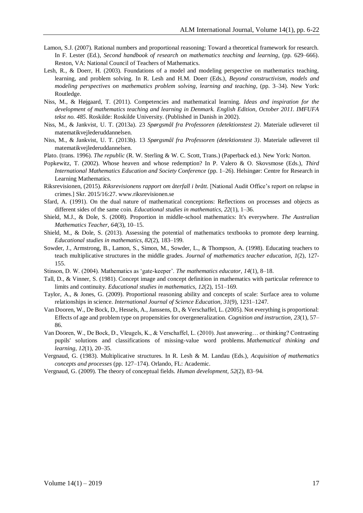- Lamon, S.J. (2007). Rational numbers and proportional reasoning: Toward a theoretical framework for research. In F. Lester (Ed.), *Second handbook of research on mathematics teaching and learning*, (pp. 629–666). Reston, VA: National Council of Teachers of Mathematics.
- Lesh, R., & Doerr, H. (2003). Foundations of a model and modeling perspective on mathematics teaching, learning, and problem solving. In R. Lesh and H.M. Doerr (Eds.), *Beyond constructivism, models and modeling perspectives on mathematics problem solving, learning and teaching*, (pp. 3–34). New York: Routledge.
- Niss, M., & Højgaard, T. (2011). Competencies and mathematical learning. *Ideas and inspiration for the development of mathematics teaching and learning in Denmark. English Edition, October 2011. IMFUFA tekst no. 485*. Roskilde: Roskilde University. (Published in Danish in 2002).
- Niss, M., & Jankvist, U. T. (2013a). 23 *Spørgsmål fra Professoren (detektionstest 2)*. Materiale udleveret til matematikvejlederuddannelsen.
- Niss, M., & Jankvist, U. T. (2013b). 13 *Spørgsmål fra Professoren (detektionstest 3)*. Materiale udleveret til matematikvejlederuddannelsen.
- Plato. (trans. 1996). *The republic* (R. W. Sterling & W. C. Scott, Trans.) (Paperback ed.). New York: Norton.
- Popkewitz, T. (2002). Whose heaven and whose redemption? In P. Valero & O. Skovsmose (Eds.), *Third International Mathematics Education and Society Conference* (pp. 1–26). Helsingør: Centre for Research in Learning Mathematics.
- Riksrevisionen, (2015). *Riksrevisionens rapport om återfall i brått*. [National Audit Office's report on relapse in crimes.] Skr. 2015/16:27. www.riksrevisionen.se
- Sfard, A. (1991). On the dual nature of mathematical conceptions: Reflections on processes and objects as different sides of the same coin. *Educational studies in mathematics, 22*(1), 1–36.
- Shield, M.J., & Dole, S. (2008). Proportion in middle-school mathematics: It's everywhere. *The Australian Mathematics Teacher, 64*(3), 10–15.
- Shield, M., & Dole, S. (2013). Assessing the potential of mathematics textbooks to promote deep learning. *Educational studies in mathematics, 82*(2), 183–199.
- Sowder, J., Armstrong, B., Lamon, S., Simon, M., Sowder, L., & Thompson, A. (1998). Educating teachers to teach multiplicative structures in the middle grades. *Journal of mathematics teacher education, 1*(2), 127- 155.
- Stinson, D. W. (2004). Mathematics as 'gate-keeper'. *The mathematics educator, 14*(1), 8–18.
- Tall, D., & Vinner, S. (1981). Concept image and concept definition in mathematics with particular reference to limits and continuity. *Educational studies in mathematics, 12*(2), 151–169.
- Taylor, A., & Jones, G. (2009). Proportional reasoning ability and concepts of scale: Surface area to volume relationships in science. *International Journal of Science Education, 31*(9), 1231–1247.
- Van Dooren, W., De Bock, D., Hessels, A., Janssens, D., & Verschaffel, L. (2005). Not everything is proportional: Effects of age and problem type on propensities for overgeneralization. *Cognition and instruction, 23*(1), 57– 86.
- Van Dooren, W., De Bock, D., Vleugels, K., & Verschaffel, L. (2010). Just answering… or thinking? Contrasting pupils' solutions and classifications of missing-value word problems. *Mathematical thinking and learning, 12*(1), 20–35.
- Vergnaud, G. (1983). Multiplicative structures. In R. Lesh & M. Landau (Eds.), *Acquisition of mathematics concepts and processes* (pp. 127–174). Orlando, FL: Academic.
- Vergnaud, G. (2009). The theory of conceptual fields. *Human development, 52*(2), 83–94.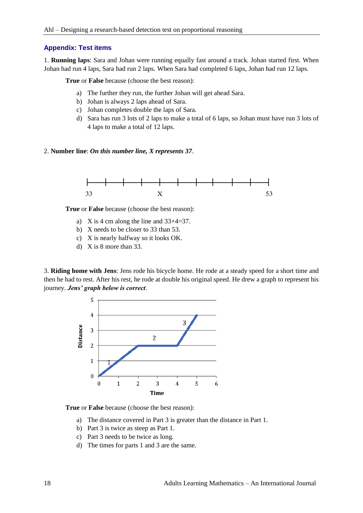#### **Appendix: Test items**

1. **Running laps**: Sara and Johan were running equally fast around a track. Johan started first. When Johan had run 4 laps, Sara had run 2 laps. When Sara had completed 6 laps, Johan had run 12 laps.

**True** or **False** because (choose the best reason):

- a) The further they run, the further Johan will get ahead Sara.
- b) Johan is always 2 laps ahead of Sara.
- c) Johan completes double the laps of Sara.
- d) Sara has run 3 lots of 2 laps to make a total of 6 laps, so Johan must have run 3 lots of 4 laps to make a total of 12 laps.
- 2. **Number line**: *On this number line, X represents 37*.



**True** or **False** because (choose the best reason):

- a) X is 4 cm along the line and  $33+4=37$ .
- b) X needs to be closer to 33 than 53.
- c) X is nearly halfway so it looks OK.
- d) X is 8 more than 33.

3. **Riding home with Jens**: Jens rode his bicycle home. He rode at a steady speed for a short time and then he had to rest. After his rest, he rode at double his original speed. He drew a graph to represent his journey. *Jens' graph below is correct*.



- a) The distance covered in Part 3 is greater than the distance in Part 1.
- b) Part 3 is twice as steep as Part 1.
- c) Part 3 needs to be twice as long.
- d) The times for parts 1 and 3 are the same.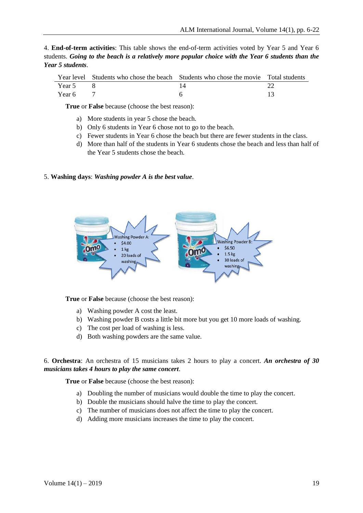4. **End-of-term activities**: This table shows the end-of-term activities voted by Year 5 and Year 6 students. *Going to the beach is a relatively more popular choice with the Year 6 students than the Year 5 students*.

|        | Year level Students who chose the beach Students who chose the movie Total students |  |
|--------|-------------------------------------------------------------------------------------|--|
| Year 5 |                                                                                     |  |
| Year 6 |                                                                                     |  |

**True** or **False** because (choose the best reason):

- a) More students in year 5 chose the beach.
- b) Only 6 students in Year 6 chose not to go to the beach.
- c) Fewer students in Year 6 chose the beach but there are fewer students in the class.
- d) More than half of the students in Year 6 students chose the beach and less than half of the Year 5 students chose the beach.

#### 5. **Washing days**: *Washing powder A is the best value*.



**True** or **False** because (choose the best reason):

- a) Washing powder A cost the least.
- b) Washing powder B costs a little bit more but you get 10 more loads of washing.
- c) The cost per load of washing is less.
- d) Both washing powders are the same value.

## 6. **Orchestra**: An orchestra of 15 musicians takes 2 hours to play a concert. *An orchestra of 30 musicians takes 4 hours to play the same concert*.

- a) Doubling the number of musicians would double the time to play the concert.
- b) Double the musicians should halve the time to play the concert.
- c) The number of musicians does not affect the time to play the concert.
- d) Adding more musicians increases the time to play the concert.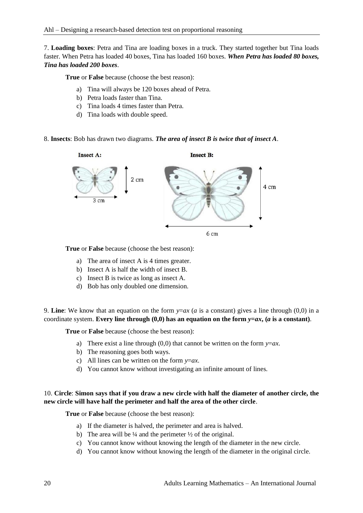7. **Loading boxes**: Petra and Tina are loading boxes in a truck. They started together but Tina loads faster. When Petra has loaded 40 boxes, Tina has loaded 160 boxes. *When Petra has loaded 80 boxes, Tina has loaded 200 boxes*.

**True** or **False** because (choose the best reason):

- a) Tina will always be 120 boxes ahead of Petra.
- b) Petra loads faster than Tina.
- c) Tina loads 4 times faster than Petra.
- d) Tina loads with double speed.
- 8. **Insects**: Bob has drawn two diagrams. *The area of insect B is twice that of insect A*.



**True** or **False** because (choose the best reason):

- a) The area of insect A is 4 times greater.
- b) Insect A is half the width of insect B.
- c) Insect B is twice as long as insect A.
- d) Bob has only doubled one dimension.

9. **Line**: We know that an equation on the form  $y=ax$  (*a* is a constant) gives a line through (0,0) in a coordinate system. **Every line through (0,0) has an equation on the form**  $y = ax$ **, (***a* **is a constant).** 

**True** or **False** because (choose the best reason):

- a) There exist a line through (0,0) that cannot be written on the form *y*=*ax*.
- b) The reasoning goes both ways.
- c) All lines can be written on the form *y*=*ax*.
- d) You cannot know without investigating an infinite amount of lines.

# 10. **Circle**: **Simon says that if you draw a new circle with half the diameter of another circle, the new circle will have half the perimeter and half the area of the other circle**.

- a) If the diameter is halved, the perimeter and area is halved.
- b) The area will be  $\frac{1}{4}$  and the perimeter  $\frac{1}{2}$  of the original.
- c) You cannot know without knowing the length of the diameter in the new circle.
- d) You cannot know without knowing the length of the diameter in the original circle.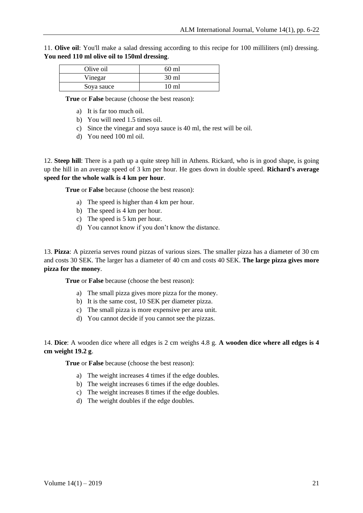11. **Olive oil**: You'll make a salad dressing according to this recipe for 100 milliliters (ml) dressing. **You need 110 ml olive oil to 150ml dressing**.

| Olive oil  | 60 ml |
|------------|-------|
| Vinegar    | 30 ml |
| Soya sauce | 10 ml |

**True** or **False** because (choose the best reason):

- a) It is far too much oil.
- b) You will need 1.5 times oil.
- c) Since the vinegar and soya sauce is 40 ml, the rest will be oil.
- d) You need 100 ml oil.

12. **Steep hill**: There is a path up a quite steep hill in Athens. Rickard, who is in good shape, is going up the hill in an average speed of 3 km per hour. He goes down in double speed. **Richard's average speed for the whole walk is 4 km per hour**.

**True** or **False** because (choose the best reason):

- a) The speed is higher than 4 km per hour.
- b) The speed is 4 km per hour.
- c) The speed is 5 km per hour.
- d) You cannot know if you don't know the distance.

13. **Pizza**: A pizzeria serves round pizzas of various sizes. The smaller pizza has a diameter of 30 cm and costs 30 SEK. The larger has a diameter of 40 cm and costs 40 SEK. **The large pizza gives more pizza for the money**.

**True** or **False** because (choose the best reason):

- a) The small pizza gives more pizza for the money.
- b) It is the same cost, 10 SEK per diameter pizza.
- c) The small pizza is more expensive per area unit.
- d) You cannot decide if you cannot see the pizzas.

14. **Dice**: A wooden dice where all edges is 2 cm weighs 4.8 g. **A wooden dice where all edges is 4 cm weight 19.2 g**.

- a) The weight increases 4 times if the edge doubles.
- b) The weight increases 6 times if the edge doubles.
- c) The weight increases 8 times if the edge doubles.
- d) The weight doubles if the edge doubles.